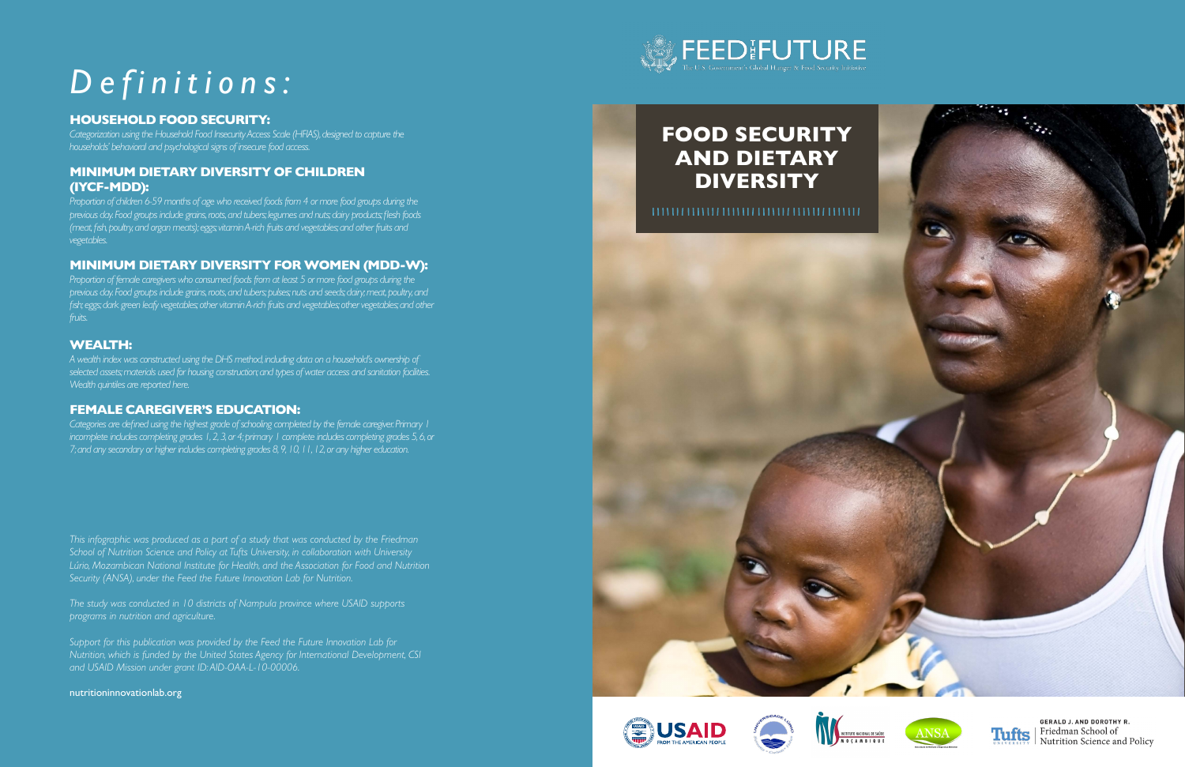*This infographic was produced as a part of a study that was conducted by the Friedman School of Nutrition Science and Policy at Tufts University, in collaboration with University Lúrio, Mozambican National Institute for Health, and the Association for Food and Nutrition Security (ANSA), under the Feed the Future Innovation Lab for Nutrition.*

*The study was conducted in 10 districts of Nampula province where USAID supports programs in nutrition and agriculture.*

*Support for this publication was provided by the Feed the Future Innovation Lab for Nutrition, which is funded by the United States Agency for International Development, CSI and USAID Mission under grant ID: AID-OAA-L-10-00006.*

[nutritioninnovationlab.org](http://nutritioninnovationlab.org)



# *Definitions:*

### **HOUSEHOLD FOOD SECURITY:**

*Categorization using the Household Food Insecurity Access Scale (HFIAS), designed to capture the households' behavioral and psychological signs of insecure food access.*

#### **MINIMUM DIETARY DIVERSITY OF CHILDREN (IYCF-MDD):**

*Proportion of children 6-59 months of age who received foods from 4 or more food groups during the previous day. Food groups include grains, roots, and tubers; legumes and nuts; dairy products; flesh foods (meat, fish, poultry, and organ meats); eggs; vitamin A-rich fruits and vegetables; and other fruits and vegetables.*

#### **MINIMUM DIETARY DIVERSITY FOR WOMEN (MDD-W):**

*Proportion of female caregivers who consumed foods from at least 5 or more food groups during the previous day. Food groups include grains, roots, and tubers; pulses; nuts and seeds; dairy; meat, poultry, and fish; eggs; dark green leafy vegetables; other vitamin A-rich fruits and vegetables; other vegetables; and other fruits.*

#### **WEALTH:**

*A wealth index was constructed using the DHS method, including data on a household's ownership of selected assets; materials used for housing construction; and types of water access and sanitation facilities. Wealth quintiles are reported here.*

#### **FEMALE CAREGIVER'S EDUCATION:**

*Categories are defined using the highest grade of schooling completed by the female caregiver. Primary 1 incomplete includes completing grades 1, 2, 3, or 4; primary 1 complete includes completing grades 5, 6, or 7; and any secondary or higher includes completing grades 8, 9, 10, 11, 12, or any higher education.*













**GERALD J. AND DOROTHY R.** Tufts | Friedman School of Nutrition Science and Policy

## **AND DIETARY DIVERSITY**